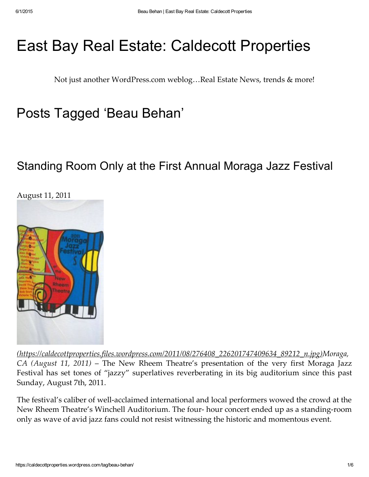# [East](https://www.facebook.com/CaldecottProp) Bay Real Estate: Caldecott [Properties](https://caldecottproperties.wordpress.com/)

[Not](https://www.facebook.com/Bronzesis) just [anot](https://www.facebook.com/euniceangelica.munoz)her WordPress.com weblog…Real Estate News, trends & more!

## [Posts](https://www.facebook.com/cconner1) [Ta](https://www.facebook.com/Ponyb0y)[gged](https://www.facebook.com/crystal.p.smith.5) 'Beau Behan'

### [Standing](https://caldecottproperties.wordpress.com/2011/08/11/standing-room-only-at-the-first-annual-moraga-jazz-festival/) [Room](https://www.facebook.com/ka.ja.982) Only at the First Annual Moraga Jazz Festival



[\(https://caldecottproperties.files.wordpress.com/2011/08/276408\\_226201747409634\\_89212\\_n.jpg\)](https://caldecottproperties.files.wordpress.com/2011/08/276408_226201747409634_89212_n.jpg)Moraga, CA (August 11, 2011) – The New Rheem Theatre's presentation of the very first Moraga Jazz Festival has set tones of "jazzy" superlatives reverberating in its big auditorium since this past Sunday, August 7th, 2011.

The festival's caliber of well‑acclaimed international and local performers wowed the crowd at the New Rheem Theatre's Winchell Auditorium. The four- hour concert ended up as a standing-room only as wave of avid jazz fans could not resist witnessing the historic and momentous event.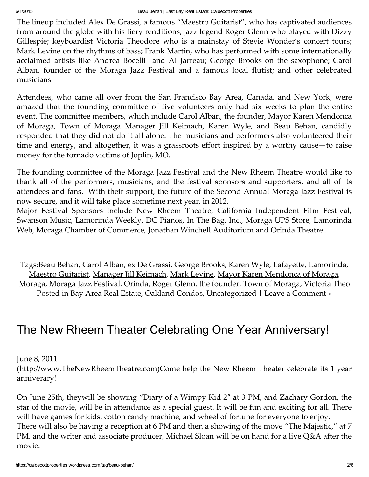The lineup included Alex De Grassi, a famous "Maestro Guitarist", who has captivated audiences from around the globe with his fiery renditions; jazz legend Roger Glenn who played with Dizzy Gillespie; keyboardist Victoria Theodore who is a mainstay of Stevie Wonder's concert tours; Mark Levine on the rhythms of bass; Frank Martin, who has performed with some internationally acclaimed artists like Andrea Bocelli and Al Jarreau; George Brooks on the saxophone; Carol Alban, founder of the Moraga Jazz Festival and a famous local flutist; and other celebrated musicians.

Attendees, who came all over from the San Francisco Bay Area, Canada, and New York, were amazed that the founding committee of five volunteers only had six weeks to plan the entire event. The committee members, which include Carol Alban, the founder, Mayor Karen Mendonca of Moraga, Town of Moraga Manager Jill Keimach, Karen Wyle, and Beau Behan, candidly responded that they did not do it all alone. The musicians and performers also volunteered their time and energy, and altogether, it was a grassroots effort inspired by a worthy cause—to raise money for the tornado victims of Joplin, MO.

The founding committee of the Moraga Jazz Festival and the New Rheem Theatre would like to thank all of the performers, musicians, and the festival sponsors and supporters, and all of its attendees and fans. With their support, the future of the Second Annual Moraga Jazz Festival is now secure, and it will take place sometime next year, in 2012.

Major Festival Sponsors include New Rheem Theatre, California Independent Film Festival, Swanson Music, Lamorinda Weekly, DC Pianos, In The Bag, Inc., Moraga UPS Store, Lamorinda Web, Moraga Chamber of Commerce, Jonathan Winchell Auditorium and Orinda Theatre .

Tags:Beau [Behan,](https://caldecottproperties.wordpress.com/tag/beau-behan/) Carol [Alban](https://caldecottproperties.wordpress.com/tag/carol-alban/), ex De [Grassi,](https://caldecottproperties.wordpress.com/tag/ex-de-grassi/) [George](https://caldecottproperties.wordpress.com/tag/george-brooks/) Brooks, [Karen](https://caldecottproperties.wordpress.com/tag/karen-wyle/) Wyle, [Lafayette,](https://caldecottproperties.wordpress.com/tag/lafayette/) [Lamorinda,](https://caldecottproperties.wordpress.com/tag/lamorinda/) Maestro [Guitarist,](https://caldecottproperties.wordpress.com/tag/maestro-guitarist/) [Manager](https://caldecottproperties.wordpress.com/tag/manager-jill-keimach/) Jill Keimach, Mark [Levine](https://caldecottproperties.wordpress.com/tag/mark-levine/), Mayor Karen [Mendonca](https://caldecottproperties.wordpress.com/tag/mayor-karen-mendonca-of-moraga/) of Moraga, [Moraga,](https://caldecottproperties.wordpress.com/tag/moraga/) Moraga Jazz [Festival,](https://caldecottproperties.wordpress.com/tag/moraga-jazz-festival/) [Orinda,](https://caldecottproperties.wordpress.com/tag/orinda/) Roger [Glenn,](https://caldecottproperties.wordpress.com/tag/roger-glenn/) the [founder,](https://caldecottproperties.wordpress.com/tag/the-founder/) Town of [Moraga,](https://caldecottproperties.wordpress.com/tag/town-of-moraga/) [Victoria](https://caldecottproperties.wordpress.com/tag/victoria-theo/) Theo Posted in Bay Area Real [Estate,](https://caldecottproperties.wordpress.com/category/bay-area-real-estate/) [Oakland](https://caldecottproperties.wordpress.com/category/oakland-condos/) Condos, [Uncategorized](https://caldecottproperties.wordpress.com/category/uncategorized/) | Leave a [Comment](https://caldecottproperties.wordpress.com/2011/08/11/standing-room-only-at-the-first-annual-moraga-jazz-festival/#respond) »

## The New Rheem Theater Celebrating One Year [Anniversary!](https://caldecottproperties.wordpress.com/2011/06/08/the-new-rheem-theater-celebrating-one-year-anniversary/)

June 8, 2011

[\(http://www.TheNewRheemTheatre.com\)C](http://www.thenewrheemtheatre.com/)ome help the New Rheem Theater celebrate its 1 year anniverary!

On June 25th, theywill be showing "Diary of a Wimpy Kid 2″ at 3 PM, and Zachary Gordon, the star of the movie, will be in attendance as a special guest. It will be fun and exciting for all. There will have games for kids, cotton candy machine, and wheel of fortune for everyone to enjoy. There will also be having a reception at 6 PM and then a showing of the move "The Majestic," at 7 PM, and the writer and associate producer, Michael Sloan will be on hand for a live Q&A after the movie.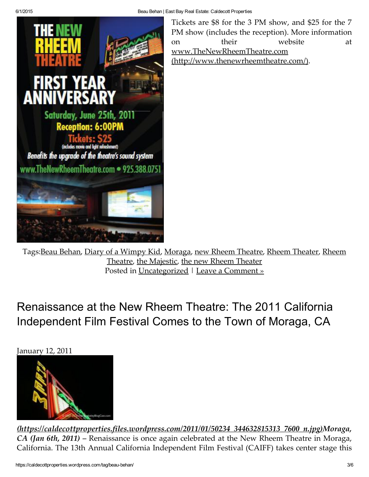

Tickets are \$8 for the 3 PM show, and \$25 for the 7 PM show (includes the reception). More information on their website at www.TheNewRheemTheatre.com [\(http://www.thenewrheemtheatre.com/\).](http://www.thenewrheemtheatre.com/)

Tags:Beau [Behan](https://caldecottproperties.wordpress.com/tag/beau-behan/), Diary of a [Wimpy](https://caldecottproperties.wordpress.com/tag/diary-of-a-wimpy-kid/) Kid, [Moraga,](https://caldecottproperties.wordpress.com/tag/moraga/) new Rheem [Theatre,](https://caldecottproperties.wordpress.com/tag/new-rheem-theatre/) Rheem [Theater,](https://caldecottproperties.wordpress.com/tag/rheem-theater/) Rheem Theatre, the [Majestic,](https://caldecottproperties.wordpress.com/tag/rheem-theatre/) the new Rheem [Theater](https://caldecottproperties.wordpress.com/tag/the-new-rheem-theater/) Posted in [Uncategorized](https://caldecottproperties.wordpress.com/category/uncategorized/) | Leave a [Comment](https://caldecottproperties.wordpress.com/2011/06/08/the-new-rheem-theater-celebrating-one-year-anniversary/#respond) »

[Renaissance](https://caldecottproperties.wordpress.com/2011/01/12/renaissance-at-the-new-rheem-theatre-the-2011-california-independent-film-festival-comes-to-the-town-of-moraga-ca/) at the New Rheem Theatre: The 2011 California Independent Film Festival Comes to the Town of Moraga, CA

January 12, 2011



[\(https://caldecottproperties.files.wordpress.com/2011/01/50234\\_344632815313\\_7600\\_n.jpg\)M](https://caldecottproperties.files.wordpress.com/2011/01/50234_344632815313_7600_n.jpg)oraga, CA (Jan 6th, 2011) – Renaissance is once again celebrated at the New Rheem Theatre in Moraga, California. The 13th Annual California Independent Film Festival (CAIFF) takes center stage this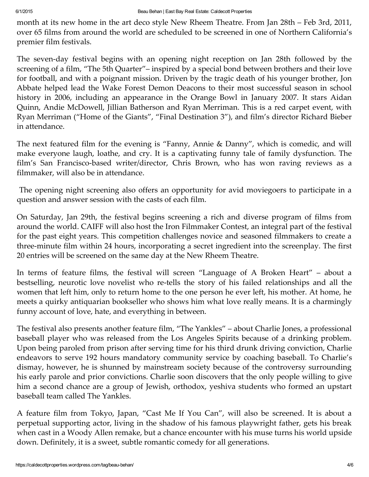month at its new home in the art deco style New Rheem Theatre. From Jan 28th – Feb 3rd, 2011, over 65 films from around the world are scheduled to be screened in one of Northern California's premier film festivals.

The seven-day festival begins with an opening night reception on Jan 28th followed by the screening of a film, "The 5th Quarter"– inspired by a special bond between brothers and their love for football, and with a poignant mission. Driven by the tragic death of his younger brother, Jon Abbate helped lead the Wake Forest Demon Deacons to their most successful season in school history in 2006, including an appearance in the Orange Bowl in January 2007. It stars Aidan Quinn, Andie McDowell, Jillian Batherson and Ryan Merriman. This is a red carpet event, with Ryan Merriman ("Home of the Giants", "Final Destination 3"), and film's director Richard Bieber in attendance.

The next featured film for the evening is "Fanny, Annie & Danny", which is comedic, and will make everyone laugh, loathe, and cry. It is a captivating funny tale of family dysfunction. The film's San Francisco-based writer/director, Chris Brown, who has won raving reviews as a filmmaker, will also be in attendance.

The opening night screening also offers an opportunity for avid moviegoers to participate in a question and answer session with the casts of each film.

On Saturday, Jan 29th, the festival begins screening a rich and diverse program of films from around the world. CAIFF will also host the Iron Filmmaker Contest, an integral part of the festival for the past eight years. This competition challenges novice and seasoned filmmakers to create a three‑minute film within 24 hours, incorporating a secret ingredient into the screenplay. The first 20 entries will be screened on the same day at the New Rheem Theatre.

In terms of feature films, the festival will screen "Language of A Broken Heart" – about a bestselling, neurotic love novelist who re-tells the story of his failed relationships and all the women that left him, only to return home to the one person he ever left, his mother. At home, he meets a quirky antiquarian bookseller who shows him what love really means. It is a charmingly funny account of love, hate, and everything in between.

The festival also presents another feature film, "The Yankles" – about Charlie Jones, a professional baseball player who was released from the Los Angeles Spirits because of a drinking problem. Upon being paroled from prison after serving time for his third drunk driving conviction, Charlie endeavors to serve 192 hours mandatory community service by coaching baseball. To Charlie's dismay, however, he is shunned by mainstream society because of the controversy surrounding his early parole and prior convictions. Charlie soon discovers that the only people willing to give him a second chance are a group of Jewish, orthodox, yeshiva students who formed an upstart baseball team called The Yankles.

A feature film from Tokyo, Japan, "Cast Me If You Can", will also be screened. It is about a perpetual supporting actor, living in the shadow of his famous playwright father, gets his break when cast in a Woody Allen remake, but a chance encounter with his muse turns his world upside down. Definitely, it is a sweet, subtle romantic comedy for all generations.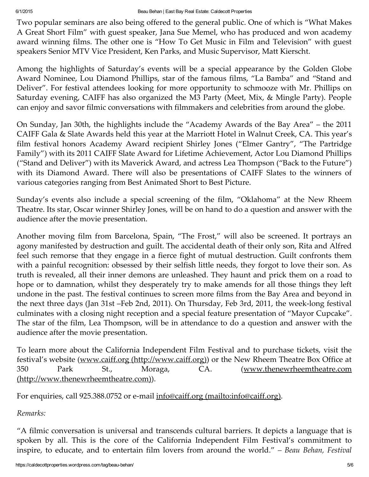Two popular seminars are also being offered to the general public. One of which is "What Makes A Great Short Film" with guest speaker, Jana Sue Memel, who has produced and won academy award winning films. The other one is "How To Get Music in Film and Television" with guest speakers Senior MTV Vice President, Ken Parks, and Music Supervisor, Matt Kierscht.

Among the highlights of Saturday's events will be a special appearance by the Golden Globe Award Nominee, Lou Diamond Phillips, star of the famous films, "La Bamba" and "Stand and Deliver". For festival attendees looking for more opportunity to schmooze with Mr. Phillips on Saturday evening, CAIFF has also organized the M3 Party (Meet, Mix, & Mingle Party). People can enjoy and savor filmic conversations with filmmakers and celebrities from around the globe.

On Sunday, Jan 30th, the highlights include the "Academy Awards of the Bay Area" – the 2011 CAIFF Gala & Slate Awards held this year at the Marriott Hotel in Walnut Creek, CA. This year's film festival honors Academy Award recipient Shirley Jones ("Elmer Gantry", "The Partridge Family") with its 2011 CAIFF Slate Award for Lifetime Achievement, Actor Lou Diamond Phillips ("Stand and Deliver") with its Maverick Award, and actress Lea Thompson ("Back to the Future") with its Diamond Award. There will also be presentations of CAIFF Slates to the winners of various categories ranging from Best Animated Short to Best Picture.

Sunday's events also include a special screening of the film, "Oklahoma" at the New Rheem Theatre. Its star, Oscar winner Shirley Jones, will be on hand to do a question and answer with the audience after the movie presentation.

Another moving film from Barcelona, Spain, "The Frost," will also be screened. It portrays an agony manifested by destruction and guilt. The accidental death of their only son, Rita and Alfred feel such remorse that they engage in a fierce fight of mutual destruction. Guilt confronts them with a painful recognition: obsessed by their selfish little needs, they forgot to love their son. As truth is revealed, all their inner demons are unleashed. They haunt and prick them on a road to hope or to damnation, whilst they desperately try to make amends for all those things they left undone in the past. The festival continues to screen more films from the Bay Area and beyond in the next three days (Jan 31st –Feb 2nd, 2011). On Thursday, Feb 3rd, 2011, the week-long festival culminates with a closing night reception and a special feature presentation of "Mayor Cupcake". The star of the film, Lea Thompson, will be in attendance to do a question and answer with the audience after the movie presentation.

To learn more about the California Independent Film Festival and to purchase tickets, visit the festival's website (www.caiff.org [\(http://www.caiff.org\)\)](http://www.caiff.org/) or the New Rheem Theatre Box Office at 350 Park St., Moraga, CA. (www.thenewrheemtheatre.com [\(http://www.thenewrheemtheatre.com\)\).](http://www.thenewrheemtheatre.com/)

For enquiries, call 925.388.0752 or e-mail info@caiff.org [\(mailto:info@caiff.org\).](mailto:info@caiff.org)

Remarks:

"A filmic conversation is universal and transcends cultural barriers. It depicts a language that is spoken by all. This is the core of the California Independent Film Festival's commitment to inspire, to educate, and to entertain film lovers from around the world." – Beau Behan, Festival